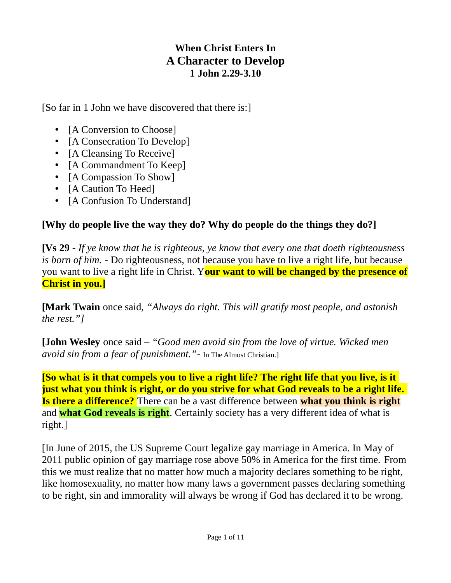## **When Christ Enters In A Character to Develop 1 John 2.29-3.10**

[So far in 1 John we have discovered that there is:]

- [A Conversion to Choose]
- [A Consecration To Develop]
- [A Cleansing To Receive]
- [A Commandment To Keep]
- [A Compassion To Show]
- [A Caution To Heed]
- [A Confusion To Understand]

## **[Why do people live the way they do? Why do people do the things they do?]**

**[Vs 29** - *If ye know that he is righteous, ye know that every one that doeth righteousness is born of him.* - Do righteousness, not because you have to live a right life, but because you want to live a right life in Christ. Y**our want to will be changed by the presence of Christ in you.]**

**[Mark Twain** once said, *"Always do right. This will gratify most people, and astonish the rest."]*

**[John Wesley** once said – *"Good men avoid sin from the love of virtue. Wicked men avoid sin from a fear of punishment."*- In The Almost Christian.]

**[So what is it that compels you to live a right life? The right life that you live, is it just what you think is right, or do you strive for what God reveals to be a right life. Is there a difference?** There can be a vast difference between **what you think is right** and **what God reveals is right**. Certainly society has a very different idea of what is right.]

[In June of 2015, the US Supreme Court legalize gay marriage in America. In May of 2011 public opinion of gay marriage rose above 50% in America for the first time. From this we must realize that no matter how much a majority declares something to be right, like homosexuality, no matter how many laws a government passes declaring something to be right, sin and immorality will always be wrong if God has declared it to be wrong.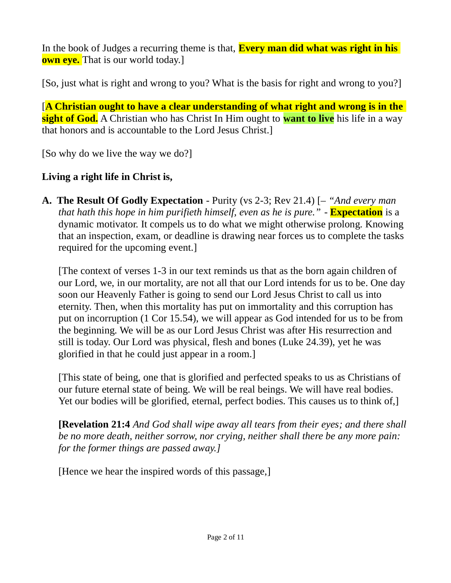In the book of Judges a recurring theme is that, **Every man did what was right in his own eye.** That is our world today.]

[So, just what is right and wrong to you? What is the basis for right and wrong to you?]

[**A Christian ought to have a clear understanding of what right and wrong is in the sight of God.** A Christian who has Christ In Him ought to **want to live** his life in a way that honors and is accountable to the Lord Jesus Christ.]

[So why do we live the way we do?]

# **Living a right life in Christ is,**

**A. The Result Of Godly Expectation** - Purity (vs 2-3; Rev 21.4) [– *"And every man that hath this hope in him purifieth himself, even as he is pure."* - **Expectation** is a dynamic motivator. It compels us to do what we might otherwise prolong. Knowing that an inspection, exam, or deadline is drawing near forces us to complete the tasks required for the upcoming event.]

[The context of verses 1-3 in our text reminds us that as the born again children of our Lord, we, in our mortality, are not all that our Lord intends for us to be. One day soon our Heavenly Father is going to send our Lord Jesus Christ to call us into eternity. Then, when this mortality has put on immortality and this corruption has put on incorruption (1 Cor 15.54), we will appear as God intended for us to be from the beginning. We will be as our Lord Jesus Christ was after His resurrection and still is today. Our Lord was physical, flesh and bones (Luke 24.39), yet he was glorified in that he could just appear in a room.]

[This state of being, one that is glorified and perfected speaks to us as Christians of our future eternal state of being. We will be real beings. We will have real bodies. Yet our bodies will be glorified, eternal, perfect bodies. This causes us to think of,]

**[Revelation 21:4** *And God shall wipe away all tears from their eyes; and there shall be no more death, neither sorrow, nor crying, neither shall there be any more pain: for the former things are passed away.]* 

[Hence we hear the inspired words of this passage,]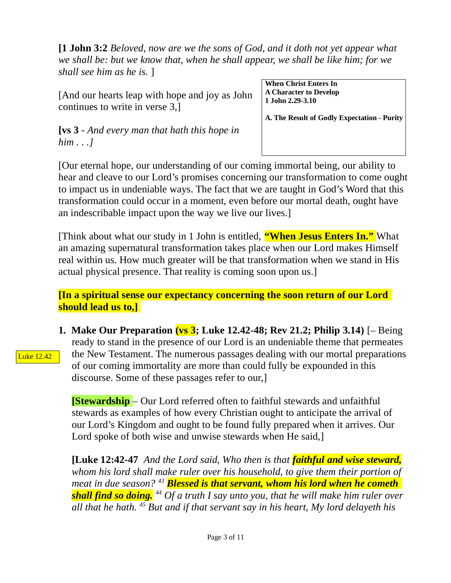**[1 John 3:2** *Beloved, now are we the sons of God, and it doth not yet appear what we shall be: but we know that, when he shall appear, we shall be like him; for we shall see him as he is.* ]

[And our hearts leap with hope and joy as John continues to write in verse 3,]

**[vs 3** - *And every man that hath this hope in him . . .]*

**When Christ Enters In A Character to Develop 1 John 2.29-3.10**

**A. The Result of Godly Expectation - Purity**

[Our eternal hope, our understanding of our coming immortal being, our ability to hear and cleave to our Lord's promises concerning our transformation to come ought to impact us in undeniable ways. The fact that we are taught in God's Word that this transformation could occur in a moment, even before our mortal death, ought have an indescribable impact upon the way we live our lives.]

[Think about what our study in 1 John is entitled, **"When Jesus Enters In."** What an amazing supernatural transformation takes place when our Lord makes Himself real within us. How much greater will be that transformation when we stand in His actual physical presence. That reality is coming soon upon us.]

**[In a spiritual sense our expectancy concerning the soon return of our Lord should lead us to,]** 

**1. Make Our Preparation (vs 3; Luke 12.42-48; Rev 21.2; Philip 3.14)** [– Being ready to stand in the presence of our Lord is an undeniable theme that permeates the New Testament. The numerous passages dealing with our mortal preparations of our coming immortality are more than could fully be expounded in this discourse. Some of these passages refer to our,]

**[Stewardship** – Our Lord referred often to faithful stewards and unfaithful stewards as examples of how every Christian ought to anticipate the arrival of our Lord's Kingdom and ought to be found fully prepared when it arrives. Our Lord spoke of both wise and unwise stewards when He said,]

**[Luke 12:42-47** *And the Lord said, Who then is that faithful and wise steward, whom his lord shall make ruler over his household, to give them their portion of meat in due season? <sup>43</sup> Blessed is that servant, whom his lord when he cometh shall find so doing. <sup>44</sup> Of a truth I say unto you, that he will make him ruler over all that he hath. <sup>45</sup> But and if that servant say in his heart, My lord delayeth his* 

Luke 12.42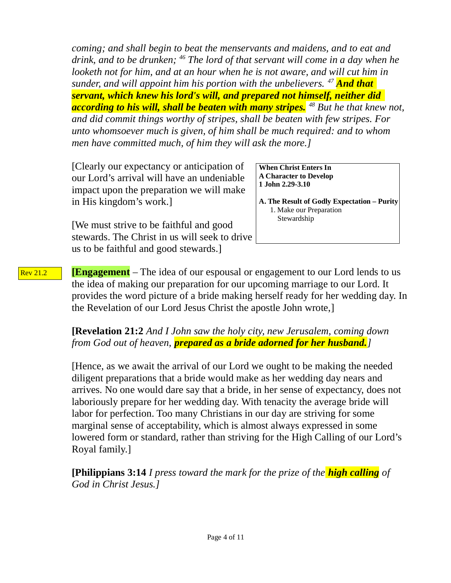*coming; and shall begin to beat the menservants and maidens, and to eat and drink, and to be drunken; <sup>46</sup> The lord of that servant will come in a day when he looketh not for him, and at an hour when he is not aware, and will cut him in sunder, and will appoint him his portion with the unbelievers. <sup>47</sup> And that servant, which knew his lord's will, and prepared not himself, neither did according to his will, shall be beaten with many stripes. <sup>48</sup> But he that knew not, and did commit things worthy of stripes, shall be beaten with few stripes. For unto whomsoever much is given, of him shall be much required: and to whom men have committed much, of him they will ask the more.]*

[Clearly our expectancy or anticipation of our Lord's arrival will have an undeniable impact upon the preparation we will make in His kingdom's work.]

**When Christ Enters In A Character to Develop 1 John 2.29-3.10**

**A. The Result of Godly Expectation – Purity** 1. Make our Preparation Stewardship

[We must strive to be faithful and good stewards. The Christ in us will seek to drive us to be faithful and good stewards.]

**[Engagement** – The idea of our espousal or engagement to our Lord lends to us the idea of making our preparation for our upcoming marriage to our Lord. It provides the word picture of a bride making herself ready for her wedding day. In the Revelation of our Lord Jesus Christ the apostle John wrote,] Rev 21.2

> **[Revelation 21:2** *And I John saw the holy city, new Jerusalem, coming down from God out of heaven, prepared as a bride adorned for her husband.]*

[Hence, as we await the arrival of our Lord we ought to be making the needed diligent preparations that a bride would make as her wedding day nears and arrives. No one would dare say that a bride, in her sense of expectancy, does not laboriously prepare for her wedding day. With tenacity the average bride will labor for perfection. Too many Christians in our day are striving for some marginal sense of acceptability, which is almost always expressed in some lowered form or standard, rather than striving for the High Calling of our Lord's Royal family.]

**[Philippians 3:14** *I press toward the mark for the prize of the high calling of God in Christ Jesus.]*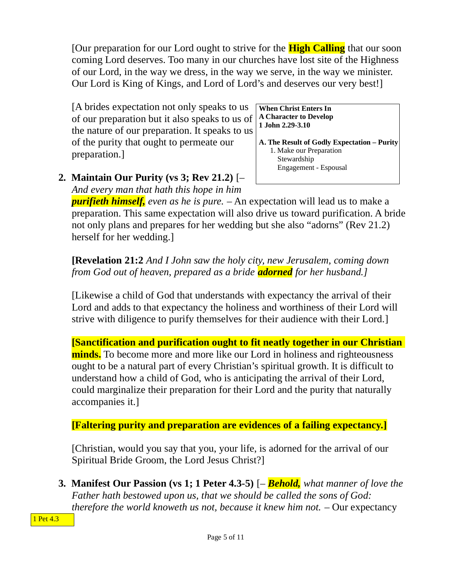[Our preparation for our Lord ought to strive for the **High Calling** that our soon coming Lord deserves. Too many in our churches have lost site of the Highness of our Lord, in the way we dress, in the way we serve, in the way we minister. Our Lord is King of Kings, and Lord of Lord's and deserves our very best!]

[A brides expectation not only speaks to us of our preparation but it also speaks to us of the nature of our preparation. It speaks to us of the purity that ought to permeate our preparation.]

**When Christ Enters In A Character to Develop 1 John 2.29-3.10**

- **A. The Result of Godly Expectation Purity** 1. Make our Preparation Stewardship Engagement - Espousal
- **2. Maintain Our Purity (vs 3; Rev 21.2)** [– *And every man that hath this hope in him*

*purifieth himself, even as he is pure.* – An expectation will lead us to make a preparation. This same expectation will also drive us toward purification. A bride not only plans and prepares for her wedding but she also "adorns" (Rev 21.2) herself for her wedding.]

### **[Revelation 21:2** *And I John saw the holy city, new Jerusalem, coming down from God out of heaven, prepared as a bride adorned for her husband.]*

[Likewise a child of God that understands with expectancy the arrival of their Lord and adds to that expectancy the holiness and worthiness of their Lord will strive with diligence to purify themselves for their audience with their Lord.]

**[Sanctification and purification ought to fit neatly together in our Christian minds.** To become more and more like our Lord in holiness and righteousness ought to be a natural part of every Christian's spiritual growth. It is difficult to understand how a child of God, who is anticipating the arrival of their Lord, could marginalize their preparation for their Lord and the purity that naturally accompanies it.]

**[Faltering purity and preparation are evidences of a failing expectancy.]**

[Christian, would you say that you, your life, is adorned for the arrival of our Spiritual Bride Groom, the Lord Jesus Christ?]

**3. Manifest Our Passion (vs 1; 1 Peter 4.3-5)** [– *Behold, what manner of love the Father hath bestowed upon us, that we should be called the sons of God: therefore the world knoweth us not, because it knew him not.* – Our expectancy

1 Pet 4.3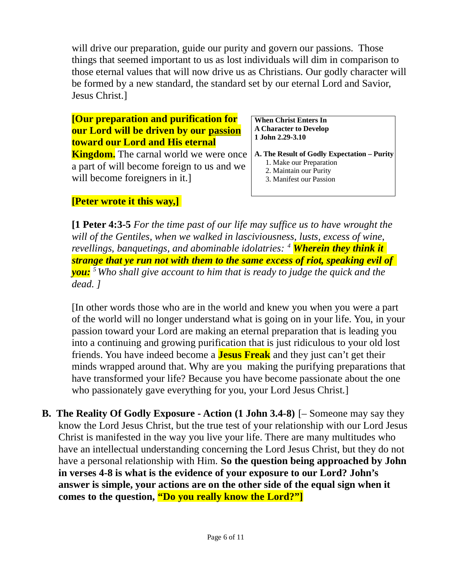will drive our preparation, guide our purity and govern our passions. Those things that seemed important to us as lost individuals will dim in comparison to those eternal values that will now drive us as Christians. Our godly character will be formed by a new standard, the standard set by our eternal Lord and Savior, Jesus Christ.]

### **[Our preparation and purification for our Lord will be driven by our passion toward our Lord and His eternal**

**Kingdom.** The carnal world we were once a part of will become foreign to us and we will become foreigners in it.]

**When Christ Enters In A Character to Develop 1 John 2.29-3.10**

- **A. The Result of Godly Expectation Purity** 1. Make our Preparation
	- 2. Maintain our Purity
	- 3. Manifest our Passion

# **[Peter wrote it this way,]**

**[1 Peter 4:3-5** *For the time past of our life may suffice us to have wrought the will of the Gentiles, when we walked in lasciviousness, lusts, excess of wine, revellings, banquetings, and abominable idolatries: <sup>4</sup> Wherein they think it strange that ye run not with them to the same excess of riot, speaking evil of you: <sup>5</sup>Who shall give account to him that is ready to judge the quick and the dead. ]*

[In other words those who are in the world and knew you when you were a part of the world will no longer understand what is going on in your life. You, in your passion toward your Lord are making an eternal preparation that is leading you into a continuing and growing purification that is just ridiculous to your old lost friends. You have indeed become a **Jesus Freak** and they just can't get their minds wrapped around that. Why are you making the purifying preparations that have transformed your life? Because you have become passionate about the one who passionately gave everything for you, your Lord Jesus Christ.]

**B. The Reality Of Godly Exposure - Action (1 John 3.4-8)** [– Someone may say they know the Lord Jesus Christ, but the true test of your relationship with our Lord Jesus Christ is manifested in the way you live your life. There are many multitudes who have an intellectual understanding concerning the Lord Jesus Christ, but they do not have a personal relationship with Him. **So the question being approached by John in verses 4-8 is what is the evidence of your exposure to our Lord? John's answer is simple, your actions are on the other side of the equal sign when it comes to the question, "Do you really know the Lord?"]**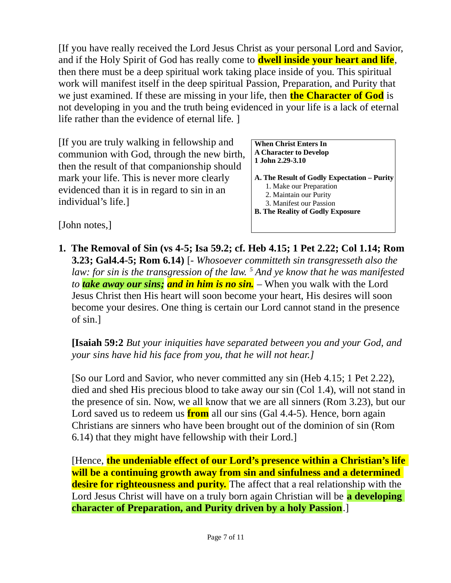[If you have really received the Lord Jesus Christ as your personal Lord and Savior, and if the Holy Spirit of God has really come to **dwell inside your heart and life**, then there must be a deep spiritual work taking place inside of you. This spiritual work will manifest itself in the deep spiritual Passion, Preparation, and Purity that we just examined. If these are missing in your life, then **the Character of God** is not developing in you and the truth being evidenced in your life is a lack of eternal life rather than the evidence of eternal life. ]

[If you are truly walking in fellowship and communion with God, through the new birth, then the result of that companionship should mark your life. This is never more clearly evidenced than it is in regard to sin in an individual's life.]

**When Christ Enters In A Character to Develop 1 John 2.29-3.10**

**A. The Result of Godly Expectation – Purity** 1. Make our Preparation 2. Maintain our Purity 3. Manifest our Passion **B. The Reality of Godly Exposure**

[John notes,]

**1. The Removal of Sin (vs 4-5; Isa 59.2; cf. Heb 4.15; 1 Pet 2.22; Col 1.14; Rom 3.23; Gal4.4-5; Rom 6.14)** [- *Whosoever committeth sin transgresseth also the*  law: for sin is the transgression of the law. <sup>5</sup> And ye know that he was manifested *to take away our sins; and in him is no sin.* – When you walk with the Lord Jesus Christ then His heart will soon become your heart, His desires will soon become your desires. One thing is certain our Lord cannot stand in the presence of sin.]

**[Isaiah 59:2** *But your iniquities have separated between you and your God, and your sins have hid his face from you, that he will not hear.]*

[So our Lord and Savior, who never committed any sin (Heb 4.15; 1 Pet 2.22), died and shed His precious blood to take away our sin (Col 1.4), will not stand in the presence of sin. Now, we all know that we are all sinners (Rom 3.23), but our Lord saved us to redeem us **from** all our sins (Gal 4.4-5). Hence, born again Christians are sinners who have been brought out of the dominion of sin (Rom 6.14) that they might have fellowship with their Lord.]

[Hence, **the undeniable effect of our Lord's presence within a Christian's life will be a continuing growth away from sin and sinfulness and a determined desire for righteousness and purity.** The affect that a real relationship with the Lord Jesus Christ will have on a truly born again Christian will be **a developing character of Preparation, and Purity driven by a holy Passion**.]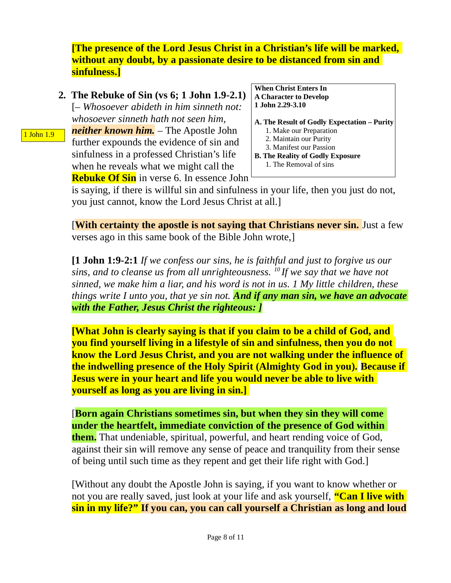**[The presence of the Lord Jesus Christ in a Christian's life will be marked, without any doubt, by a passionate desire to be distanced from sin and sinfulness.]**

**2. The Rebuke of Sin (vs 6; 1 John 1.9-2.1)** [– *Whosoever abideth in him sinneth not: whosoever sinneth hath not seen him, neither known him.* – The Apostle John further expounds the evidence of sin and sinfulness in a professed Christian's life when he reveals what we might call the **Rebuke Of Sin** in verse 6. In essence John

1 John 1.9

- **When Christ Enters In A Character to Develop 1 John 2.29-3.10**
- **A. The Result of Godly Expectation Purity** 1. Make our Preparation 2. Maintain our Purity
	- 3. Manifest our Passion
- **B. The Reality of Godly Exposure** 1. The Removal of sins

is saying, if there is willful sin and sinfulness in your life, then you just do not, you just cannot, know the Lord Jesus Christ at all.]

**[With certainty the apostle is not saying that Christians never sin.** Just a few verses ago in this same book of the Bible John wrote,]

**[1 John 1:9-2:1** *If we confess our sins, he is faithful and just to forgive us our sins, and to cleanse us from all unrighteousness. <sup>10</sup>If we say that we have not sinned, we make him a liar, and his word is not in us. 1 My little children, these things write I unto you, that ye sin not. And if any man sin, we have an advocate with the Father, Jesus Christ the righteous: ]*

**[What John is clearly saying is that if you claim to be a child of God, and you find yourself living in a lifestyle of sin and sinfulness, then you do not know the Lord Jesus Christ, and you are not walking under the influence of the indwelling presence of the Holy Spirit (Almighty God in you). Because if Jesus were in your heart and life you would never be able to live with yourself as long as you are living in sin.]**

[**Born again Christians sometimes sin, but when they sin they will come under the heartfelt, immediate conviction of the presence of God within them.** That undeniable, spiritual, powerful, and heart rending voice of God, against their sin will remove any sense of peace and tranquility from their sense of being until such time as they repent and get their life right with God.]

[Without any doubt the Apostle John is saying, if you want to know whether or not you are really saved, just look at your life and ask yourself, **"Can I live with sin in my life?" If you can, you can call yourself a Christian as long and loud**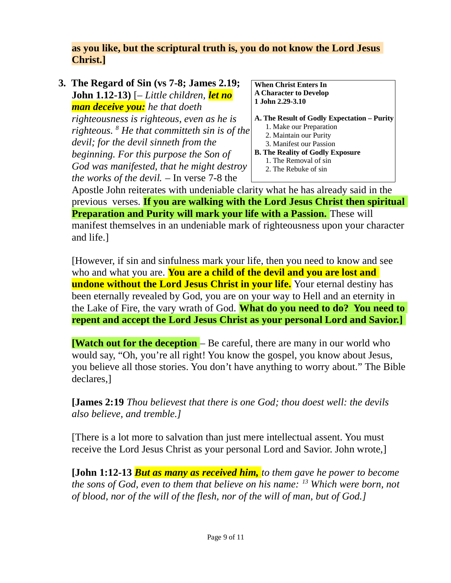## **as you like, but the scriptural truth is, you do not know the Lord Jesus Christ.]**

#### **3. The Regard of Sin (vs 7-8; James 2.19; John 1.12-13)** [– *Little children, let no man deceive you: he that doeth righteousness is righteous, even as he is righteous. <sup>8</sup> He that committeth sin is of the devil; for the devil sinneth from the*

*beginning. For this purpose the Son of God was manifested, that he might destroy the works of the devil.* – In verse 7-8 the

**When Christ Enters In A Character to Develop 1 John 2.29-3.10**

**A. The Result of Godly Expectation – Purity**

- 1. Make our Preparation
- 2. Maintain our Purity
- 3. Manifest our Passion
- **B. The Reality of Godly Exposure**
	- 1. The Removal of sin
	- 2. The Rebuke of sin

Apostle John reiterates with undeniable clarity what he has already said in the previous verses. **If you are walking with the Lord Jesus Christ then spiritual Preparation and Purity will mark your life with a Passion.** These will manifest themselves in an undeniable mark of righteousness upon your character and life.]

[However, if sin and sinfulness mark your life, then you need to know and see who and what you are. **You are a child of the devil and you are lost and undone without the Lord Jesus Christ in your life.** Your eternal destiny has been eternally revealed by God, you are on your way to Hell and an eternity in the Lake of Fire, the vary wrath of God. **What do you need to do? You need to repent and accept the Lord Jesus Christ as your personal Lord and Savior.]** 

**[Watch out for the deception** – Be careful, there are many in our world who would say, "Oh, you're all right! You know the gospel, you know about Jesus, you believe all those stories. You don't have anything to worry about." The Bible declares,]

**[James 2:19** *Thou believest that there is one God; thou doest well: the devils also believe, and tremble.]*

[There is a lot more to salvation than just mere intellectual assent. You must receive the Lord Jesus Christ as your personal Lord and Savior. John wrote,]

**[John 1:12-13** *But as many as received him, to them gave he power to become the sons of God, even to them that believe on his name: <sup>13</sup> Which were born, not of blood, nor of the will of the flesh, nor of the will of man, but of God.]*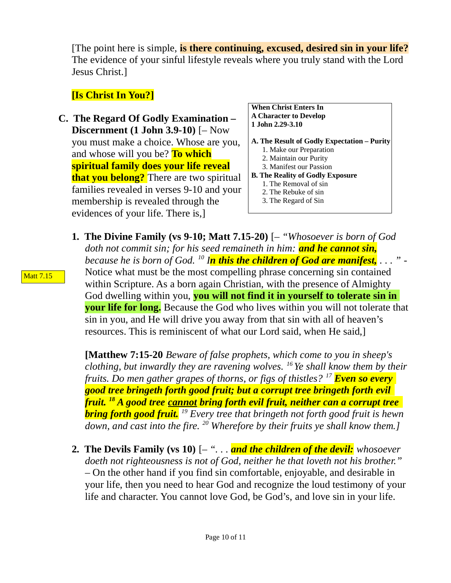[The point here is simple, **is there continuing, excused, desired sin in your life?** The evidence of your sinful lifestyle reveals where you truly stand with the Lord Jesus Christ.]

# **[Is Christ In You?]**

**C. The Regard Of Godly Examination – Discernment (1 John 3.9-10)** [– Now you must make a choice. Whose are you, and whose will you be? **To which spiritual family does your life reveal that you belong?** There are two spiritual families revealed in verses 9-10 and your membership is revealed through the evidences of your life. There is,]

**When Christ Enters In A Character to Develop 1 John 2.29-3.10**

- **A. The Result of Godly Expectation Purity**
	- 1. Make our Preparation
	- 2. Maintain our Purity
	- 3. Manifest our Passion
- **B. The Reality of Godly Exposure**
	- 1. The Removal of sin
	- 2. The Rebuke of sin
	- 3. The Regard of Sin
- **1. The Divine Family (vs 9-10; Matt 7.15-20)** [– *"Whosoever is born of God doth not commit sin; for his seed remaineth in him: and he cannot sin, because he is born of God. <sup>10</sup> In this the children of God are manifest, . . . "* - Notice what must be the most compelling phrase concerning sin contained within Scripture. As a born again Christian, with the presence of Almighty God dwelling within you, **you will not find it in yourself to tolerate sin in your life for long.** Because the God who lives within you will not tolerate that sin in you, and He will drive you away from that sin with all of heaven's resources. This is reminiscent of what our Lord said, when He said,]

**[Matthew 7:15-20** *Beware of false prophets, which come to you in sheep's clothing, but inwardly they are ravening wolves. <sup>16</sup>Ye shall know them by their fruits. Do men gather grapes of thorns, or figs of thistles? <sup>17</sup> Even so every good tree bringeth forth good fruit; but a corrupt tree bringeth forth evil fruit. <sup>18</sup> A good tree cannot bring forth evil fruit, neither can a corrupt tree bring forth good fruit. <sup>19</sup> Every tree that bringeth not forth good fruit is hewn down, and cast into the fire. <sup>20</sup> Wherefore by their fruits ye shall know them.]*

**2. The Devils Family (vs 10)** [– *". . . and the children of the devil: whosoever doeth not righteousness is not of God, neither he that loveth not his brother."* – On the other hand if you find sin comfortable, enjoyable, and desirable in your life, then you need to hear God and recognize the loud testimony of your life and character. You cannot love God, be God's, and love sin in your life.

Matt 7.15